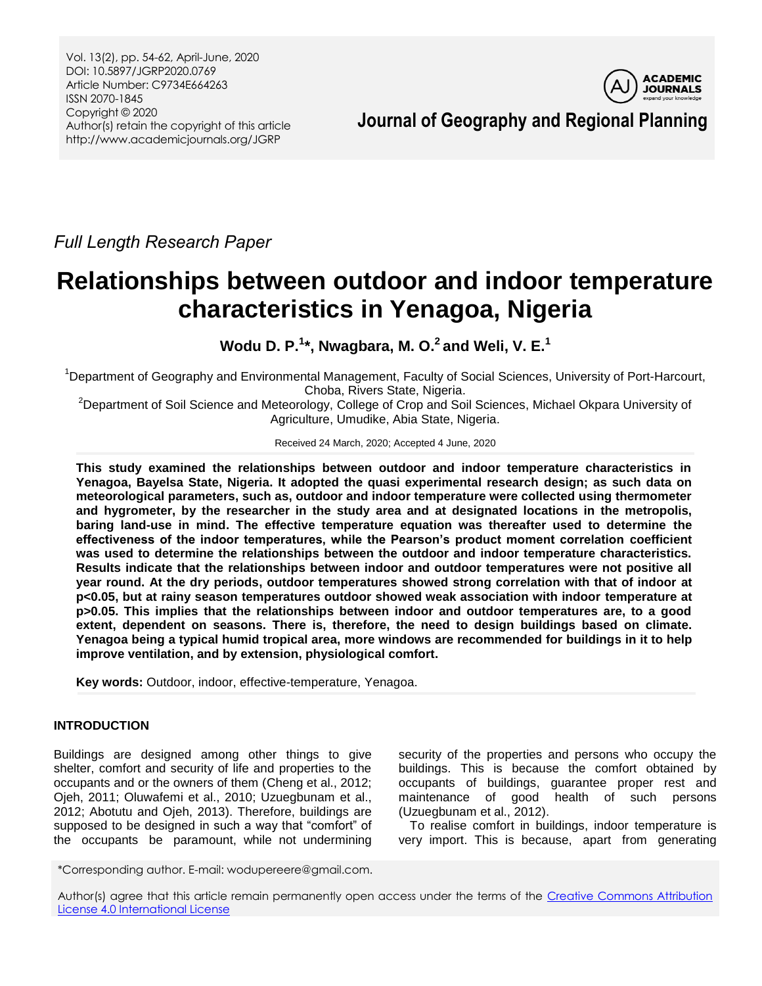

*Full Length Research Paper*

# **Relationships between outdoor and indoor temperature characteristics in Yenagoa, Nigeria**

**Wodu D. P.<sup>1</sup> \*, Nwagbara, M. O. <sup>2</sup>and Weli, V. E.<sup>1</sup>**

<sup>1</sup>Department of Geography and Environmental Management, Faculty of Social Sciences, University of Port-Harcourt, Choba, Rivers State, Nigeria.

<sup>2</sup>Department of Soil Science and Meteorology, College of Crop and Soil Sciences, Michael Okpara University of Agriculture, Umudike, Abia State, Nigeria.

Received 24 March, 2020; Accepted 4 June, 2020

**This study examined the relationships between outdoor and indoor temperature characteristics in Yenagoa, Bayelsa State, Nigeria. It adopted the quasi experimental research design; as such data on meteorological parameters, such as, outdoor and indoor temperature were collected using thermometer and hygrometer, by the researcher in the study area and at designated locations in the metropolis, baring land-use in mind. The effective temperature equation was thereafter used to determine the effectiveness of the indoor temperatures, while the Pearson's product moment correlation coefficient was used to determine the relationships between the outdoor and indoor temperature characteristics. Results indicate that the relationships between indoor and outdoor temperatures were not positive all year round. At the dry periods, outdoor temperatures showed strong correlation with that of indoor at p<0.05, but at rainy season temperatures outdoor showed weak association with indoor temperature at p>0.05. This implies that the relationships between indoor and outdoor temperatures are, to a good extent, dependent on seasons. There is, therefore, the need to design buildings based on climate. Yenagoa being a typical humid tropical area, more windows are recommended for buildings in it to help improve ventilation, and by extension, physiological comfort.**

**Key words:** Outdoor, indoor, effective-temperature, Yenagoa.

# **INTRODUCTION**

Buildings are designed among other things to give shelter, comfort and security of life and properties to the occupants and or the owners of them (Cheng et al., 2012; Ojeh, 2011; Oluwafemi et al., 2010; Uzuegbunam et al., 2012; Abotutu and Ojeh, 2013). Therefore, buildings are supposed to be designed in such a way that "comfort" of the occupants be paramount, while not undermining security of the properties and persons who occupy the buildings. This is because the comfort obtained by occupants of buildings, guarantee proper rest and maintenance of good health of such persons (Uzuegbunam et al., 2012).

To realise comfort in buildings, indoor temperature is very import. This is because, apart from generating

\*Corresponding author. E-mail: wodupereere@gmail.com.

Author(s) agree that this article remain permanently open access under the terms of the Creative Commons Attribution [License 4.0 International License](http://creativecommons.org/licenses/by/4.0/deed.en_US)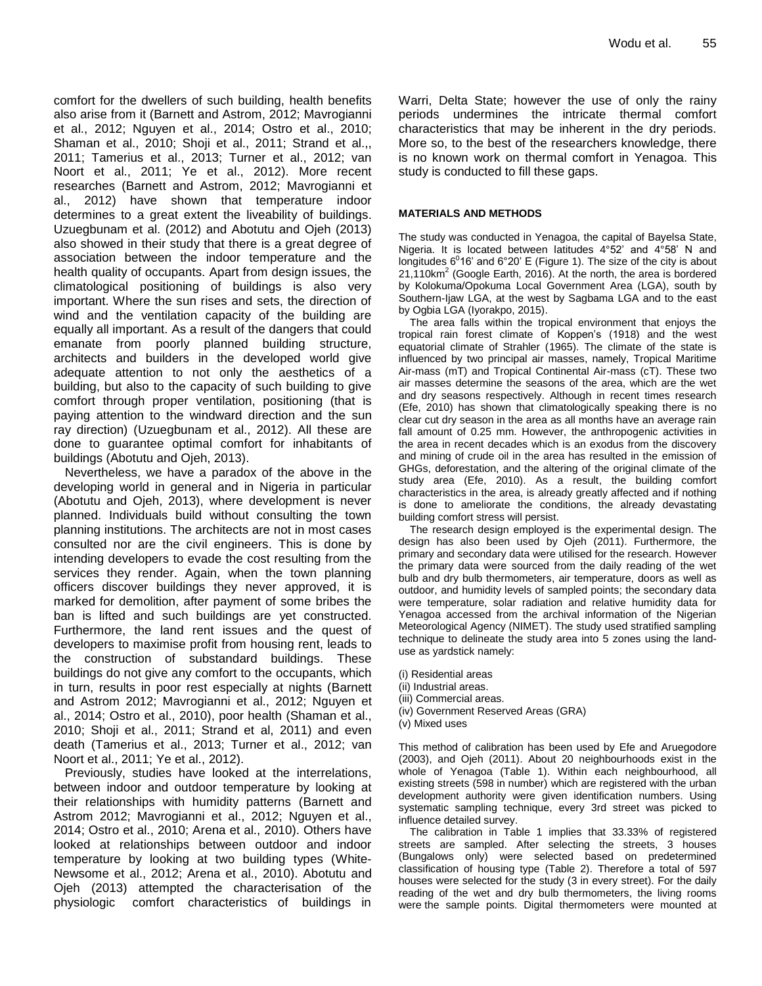comfort for the dwellers of such building, health benefits also arise from it (Barnett and Astrom, 2012; Mavrogianni et al., 2012; Nguyen et al., 2014; Ostro et al., 2010; Shaman et al., 2010; Shoji et al., 2011; Strand et al.,, 2011; Tamerius et al., 2013; Turner et al., 2012; van Noort et al., 2011; Ye et al., 2012). More recent researches (Barnett and Astrom, 2012; Mavrogianni et al., 2012) have shown that temperature indoor determines to a great extent the liveability of buildings. Uzuegbunam et al. (2012) and Abotutu and Ojeh (2013) also showed in their study that there is a great degree of association between the indoor temperature and the health quality of occupants. Apart from design issues, the climatological positioning of buildings is also very important. Where the sun rises and sets, the direction of wind and the ventilation capacity of the building are equally all important. As a result of the dangers that could emanate from poorly planned building structure, architects and builders in the developed world give adequate attention to not only the aesthetics of a building, but also to the capacity of such building to give comfort through proper ventilation, positioning (that is paying attention to the windward direction and the sun ray direction) (Uzuegbunam et al., 2012). All these are done to guarantee optimal comfort for inhabitants of buildings (Abotutu and Ojeh, 2013).

Nevertheless, we have a paradox of the above in the developing world in general and in Nigeria in particular (Abotutu and Ojeh, 2013), where development is never planned. Individuals build without consulting the town planning institutions. The architects are not in most cases consulted nor are the civil engineers. This is done by intending developers to evade the cost resulting from the services they render. Again, when the town planning officers discover buildings they never approved, it is marked for demolition, after payment of some bribes the ban is lifted and such buildings are yet constructed. Furthermore, the land rent issues and the quest of developers to maximise profit from housing rent, leads to the construction of substandard buildings. These buildings do not give any comfort to the occupants, which in turn, results in poor rest especially at nights (Barnett and Astrom 2012; Mavrogianni et al., 2012; Nguyen et al., 2014; Ostro et al., 2010), poor health (Shaman et al., 2010; Shoji et al., 2011; Strand et al, 2011) and even death (Tamerius et al., 2013; Turner et al., 2012; van Noort et al., 2011; Ye et al., 2012).

Previously, studies have looked at the interrelations, between indoor and outdoor temperature by looking at their relationships with humidity patterns (Barnett and Astrom 2012; Mavrogianni et al., 2012; Nguyen et al., 2014; Ostro et al., 2010; Arena et al., 2010). Others have looked at relationships between outdoor and indoor temperature by looking at two building types (White-Newsome et al., 2012; Arena et al., 2010). Abotutu and Ojeh (2013) attempted the characterisation of the physiologic comfort characteristics of buildings in Warri, Delta State; however the use of only the rainy periods undermines the intricate thermal comfort characteristics that may be inherent in the dry periods. More so, to the best of the researchers knowledge, there is no known work on thermal comfort in Yenagoa. This study is conducted to fill these gaps.

#### **MATERIALS AND METHODS**

The study was conducted in Yenagoa, the capital of Bayelsa State, Nigeria. It is located between latitudes 4°52' and 4°58' N and longitudes  $6^016$  and  $6^{\circ}20$  E (Figure 1). The size of the city is about 21,110km<sup>2</sup> (Google Earth, 2016). At the north, the area is bordered by Kolokuma/Opokuma Local Government Area (LGA), south by Southern-Ijaw LGA, at the west by Sagbama LGA and to the east by Ogbia LGA (Iyorakpo, 2015).

The area falls within the tropical environment that enjoys the tropical rain forest climate of Koppen's (1918) and the west equatorial climate of Strahler (1965). The climate of the state is influenced by two principal air masses, namely, Tropical Maritime Air-mass (mT) and Tropical Continental Air-mass (cT). These two air masses determine the seasons of the area, which are the wet and dry seasons respectively. Although in recent times research (Efe, 2010) has shown that climatologically speaking there is no clear cut dry season in the area as all months have an average rain fall amount of 0.25 mm. However, the anthropogenic activities in the area in recent decades which is an exodus from the discovery and mining of crude oil in the area has resulted in the emission of GHGs, deforestation, and the altering of the original climate of the study area (Efe, 2010). As a result, the building comfort characteristics in the area, is already greatly affected and if nothing is done to ameliorate the conditions, the already devastating building comfort stress will persist.

The research design employed is the experimental design. The design has also been used by Ojeh (2011). Furthermore, the primary and secondary data were utilised for the research. However the primary data were sourced from the daily reading of the wet bulb and dry bulb thermometers, air temperature, doors as well as outdoor, and humidity levels of sampled points; the secondary data were temperature, solar radiation and relative humidity data for Yenagoa accessed from the archival information of the Nigerian Meteorological Agency (NIMET). The study used stratified sampling technique to delineate the study area into 5 zones using the landuse as yardstick namely:

- (i) Residential areas
- (ii) Industrial areas.
- (iii) Commercial areas.
- (iv) Government Reserved Areas (GRA)
- (v) Mixed uses

This method of calibration has been used by Efe and Aruegodore (2003), and Ojeh (2011). About 20 neighbourhoods exist in the whole of Yenagoa (Table 1). Within each neighbourhood, all existing streets (598 in number) which are registered with the urban development authority were given identification numbers. Using systematic sampling technique, every 3rd street was picked to influence detailed survey.

The calibration in Table 1 implies that 33.33% of registered streets are sampled. After selecting the streets, 3 houses (Bungalows only) were selected based on predetermined classification of housing type (Table 2). Therefore a total of 597 houses were selected for the study (3 in every street). For the daily reading of the wet and dry bulb thermometers, the living rooms were the sample points. Digital thermometers were mounted at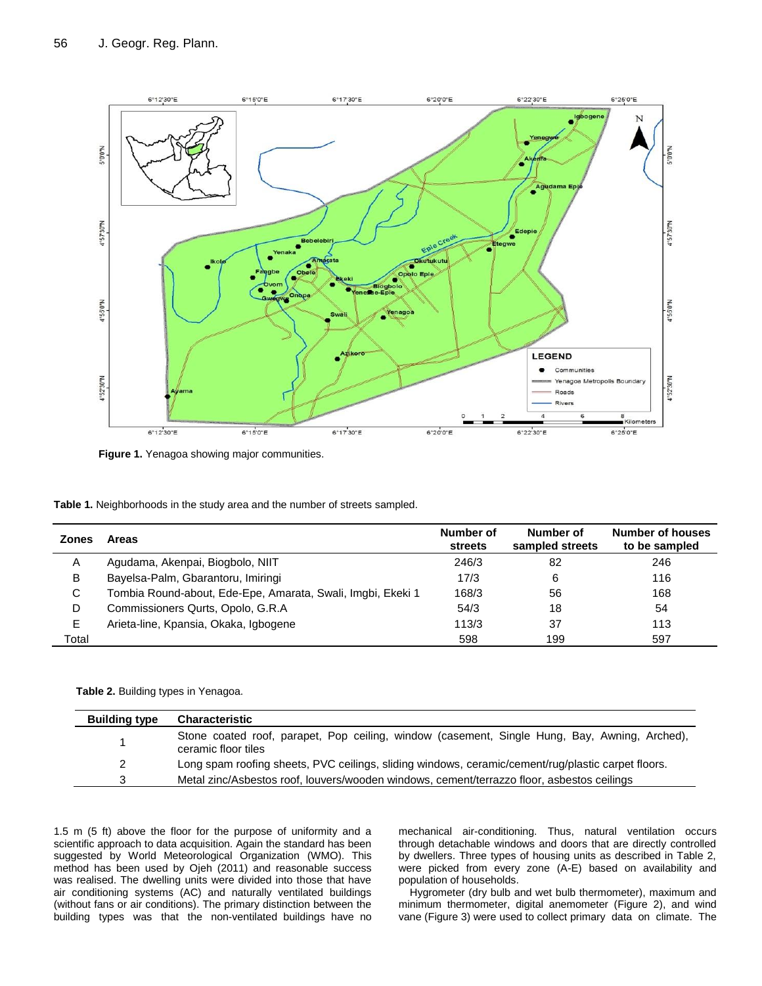

**Figure 1.** Yenagoa showing major communities.

| Table 1. Neighborhoods in the study area and the number of streets sampled. |  |  |  |
|-----------------------------------------------------------------------------|--|--|--|
|-----------------------------------------------------------------------------|--|--|--|

| <b>Zones</b> | <b>Areas</b>                                                | Number of<br><b>streets</b> | Number of<br>sampled streets | Number of houses<br>to be sampled |
|--------------|-------------------------------------------------------------|-----------------------------|------------------------------|-----------------------------------|
| A            | Agudama, Akenpai, Biogbolo, NIIT                            | 246/3                       | 82                           | 246                               |
| В            | Bayelsa-Palm, Gbarantoru, Imiringi                          | 17/3                        | 6                            | 116                               |
| C            | Tombia Round-about, Ede-Epe, Amarata, Swali, Imgbi, Ekeki 1 | 168/3                       | 56                           | 168                               |
| D            | Commissioners Qurts, Opolo, G.R.A.                          | 54/3                        | 18                           | 54                                |
| E.           | Arieta-line, Kpansia, Okaka, Igbogene                       | 113/3                       | 37                           | 113                               |
| Total        |                                                             | 598                         | 199                          | 597                               |

**Table 2.** Building types in Yenagoa.

| <b>Building type</b> | <b>Characteristic</b>                                                                                                |
|----------------------|----------------------------------------------------------------------------------------------------------------------|
|                      | Stone coated roof, parapet, Pop ceiling, window (casement, Single Hung, Bay, Awning, Arched),<br>ceramic floor tiles |
| 2                    | Long spam roofing sheets, PVC ceilings, sliding windows, ceramic/cement/rug/plastic carpet floors.                   |
|                      | Metal zinc/Asbestos roof, louvers/wooden windows, cement/terrazzo floor, asbestos ceilings                           |

1.5 m (5 ft) above the floor for the purpose of uniformity and a scientific approach to data acquisition. Again the standard has been suggested by World Meteorological Organization (WMO). This method has been used by Ojeh (2011) and reasonable success was realised. The dwelling units were divided into those that have air conditioning systems (AC) and naturally ventilated buildings (without fans or air conditions). The primary distinction between the building types was that the non-ventilated buildings have no mechanical air-conditioning. Thus, natural ventilation occurs through detachable windows and doors that are directly controlled by dwellers. Three types of housing units as described in Table 2, were picked from every zone (A-E) based on availability and population of households.

Hygrometer (dry bulb and wet bulb thermometer), maximum and minimum thermometer, digital anemometer (Figure 2), and wind vane (Figure 3) were used to collect primary data on climate. The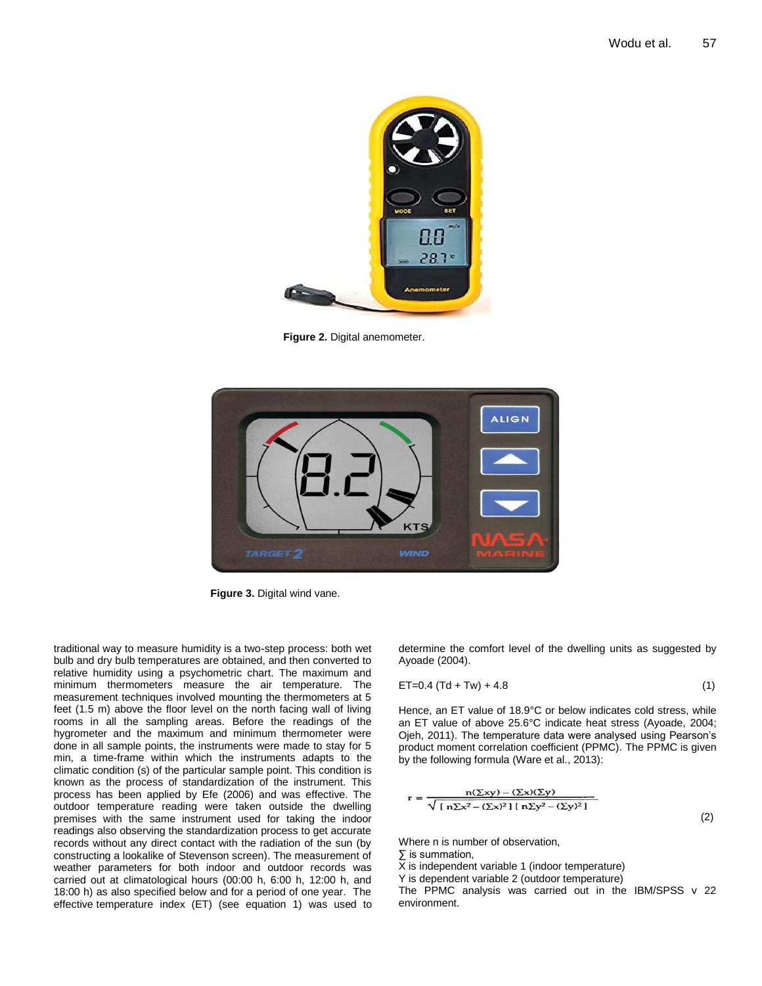

**Figure 2.** Digital anemometer.



**Figure 3.** Digital wind vane.

traditional way to measure humidity is a two-step process: both wet bulb and dry bulb temperatures are obtained, and then converted to relative humidity using a psychometric chart. The maximum and minimum thermometers measure the air temperature. The measurement techniques involved mounting the thermometers at 5 feet (1.5 m) above the floor level on the north facing wall of living rooms in all the sampling areas. Before the readings of the hygrometer and the maximum and minimum thermometer were done in all sample points, the instruments were made to stay for 5 min, a time-frame within which the instruments adapts to the climatic condition (s) of the particular sample point. This condition is known as the process of standardization of the instrument. This process has been applied by Efe (2006) and was effective. The outdoor temperature reading were taken outside the dwelling premises with the same instrument used for taking the indoor readings also observing the standardization process to get accurate records without any direct contact with the radiation of the sun (by constructing a lookalike of Stevenson screen). The measurement of weather parameters for both indoor and outdoor records was carried out at climatological hours (00:00 h, 6:00 h, 12:00 h, and 18:00 h) as also specified below and for a period of one year. The effective temperature index (ET) (see equation 1) was used to determine the comfort level of the dwelling units as suggested by Ayoade (2004).

$$
ET=0.4 (Td+Tw) + 4.8 \tag{1}
$$

Hence, an ET value of 18.9°C or below indicates cold stress, while an ET value of above 25.6°C indicate heat stress (Ayoade, 2004; Ojeh, 2011). The temperature data were analysed using Pearson's product moment correlation coefficient (PPMC). The PPMC is given by the following formula (Ware et al., 2013):

$$
r = \frac{n(\Sigma xy) - (\Sigma x)(\Sigma y)}{\sqrt{\left[n\Sigma x^2 - (\Sigma x)^2\right]\left[n\Sigma y^2 - (\Sigma y)^2\right]}}
$$
\n(2)

Where n is number of observation,

∑ is summation,

X is independent variable 1 (indoor temperature)

Y is dependent variable 2 (outdoor temperature)

The PPMC analysis was carried out in the IBM/SPSS v 22 environment.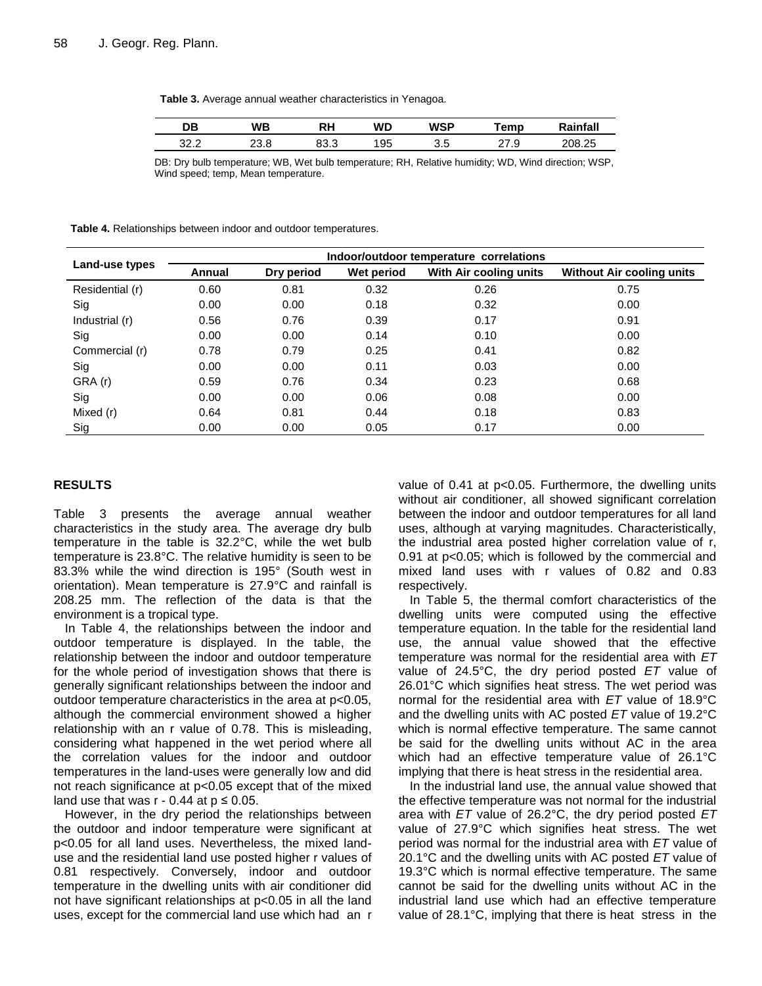**Table 3.** Average annual weather characteristics in Yenagoa.

| DB           | WB              | RH         | WŊ | WSP        | emp         | -- - - - - -<br>наг |
|--------------|-----------------|------------|----|------------|-------------|---------------------|
| າາ າ<br>ے.ےر | $\circ$<br>∠ ∪. | റററ<br>ט.ט | 95 | ∼ ∼<br>ບ.ບ | Q<br>ن. ا ۲ | 208.25              |

DB: Dry bulb temperature; WB, Wet bulb temperature; RH, Relative humidity; WD, Wind direction; WSP, Wind speed; temp, Mean temperature.

**Table 4.** Relationships between indoor and outdoor temperatures.

|                 | Indoor/outdoor temperature correlations |            |            |                        |                                  |  |  |
|-----------------|-----------------------------------------|------------|------------|------------------------|----------------------------------|--|--|
| Land-use types  | Annual                                  | Dry period | Wet period | With Air cooling units | <b>Without Air cooling units</b> |  |  |
| Residential (r) | 0.60                                    | 0.81       | 0.32       | 0.26                   | 0.75                             |  |  |
| Sig             | 0.00                                    | 0.00       | 0.18       | 0.32                   | 0.00                             |  |  |
| Industrial (r)  | 0.56                                    | 0.76       | 0.39       | 0.17                   | 0.91                             |  |  |
| Sig             | 0.00                                    | 0.00       | 0.14       | 0.10                   | 0.00                             |  |  |
| Commercial (r)  | 0.78                                    | 0.79       | 0.25       | 0.41                   | 0.82                             |  |  |
| Sig             | 0.00                                    | 0.00       | 0.11       | 0.03                   | 0.00                             |  |  |
| GRA (r)         | 0.59                                    | 0.76       | 0.34       | 0.23                   | 0.68                             |  |  |
| Sig             | 0.00                                    | 0.00       | 0.06       | 0.08                   | 0.00                             |  |  |
| Mixed (r)       | 0.64                                    | 0.81       | 0.44       | 0.18                   | 0.83                             |  |  |
| Sig             | 0.00                                    | 0.00       | 0.05       | 0.17                   | 0.00                             |  |  |

## **RESULTS**

Table 3 presents the average annual weather characteristics in the study area. The average dry bulb temperature in the table is 32.2°C, while the wet bulb temperature is 23.8°C. The relative humidity is seen to be 83.3% while the wind direction is 195° (South west in orientation). Mean temperature is 27.9°C and rainfall is 208.25 mm. The reflection of the data is that the environment is a tropical type.

In Table 4, the relationships between the indoor and outdoor temperature is displayed. In the table, the relationship between the indoor and outdoor temperature for the whole period of investigation shows that there is generally significant relationships between the indoor and outdoor temperature characteristics in the area at p<0.05, although the commercial environment showed a higher relationship with an r value of 0.78. This is misleading, considering what happened in the wet period where all the correlation values for the indoor and outdoor temperatures in the land-uses were generally low and did not reach significance at p<0.05 except that of the mixed land use that was  $r - 0.44$  at  $p \le 0.05$ .

However, in the dry period the relationships between the outdoor and indoor temperature were significant at p<0.05 for all land uses. Nevertheless, the mixed landuse and the residential land use posted higher r values of 0.81 respectively. Conversely, indoor and outdoor temperature in the dwelling units with air conditioner did not have significant relationships at p<0.05 in all the land uses, except for the commercial land use which had an r value of 0.41 at p<0.05. Furthermore, the dwelling units without air conditioner, all showed significant correlation between the indoor and outdoor temperatures for all land uses, although at varying magnitudes. Characteristically, the industrial area posted higher correlation value of r, 0.91 at p<0.05; which is followed by the commercial and mixed land uses with r values of 0.82 and 0.83 respectively.

In Table 5, the thermal comfort characteristics of the dwelling units were computed using the effective temperature equation. In the table for the residential land use, the annual value showed that the effective temperature was normal for the residential area with *ET*  value of 24.5°C, the dry period posted *ET* value of 26.01°C which signifies heat stress. The wet period was normal for the residential area with *ET* value of 18.9°C and the dwelling units with AC posted *ET* value of 19.2°C which is normal effective temperature. The same cannot be said for the dwelling units without AC in the area which had an effective temperature value of 26.1°C implying that there is heat stress in the residential area.

In the industrial land use, the annual value showed that the effective temperature was not normal for the industrial area with *ET* value of 26.2°C, the dry period posted *ET*  value of 27.9°C which signifies heat stress. The wet period was normal for the industrial area with *ET* value of 20.1°C and the dwelling units with AC posted *ET* value of 19.3°C which is normal effective temperature. The same cannot be said for the dwelling units without AC in the industrial land use which had an effective temperature value of 28.1°C, implying that there is heat stress in the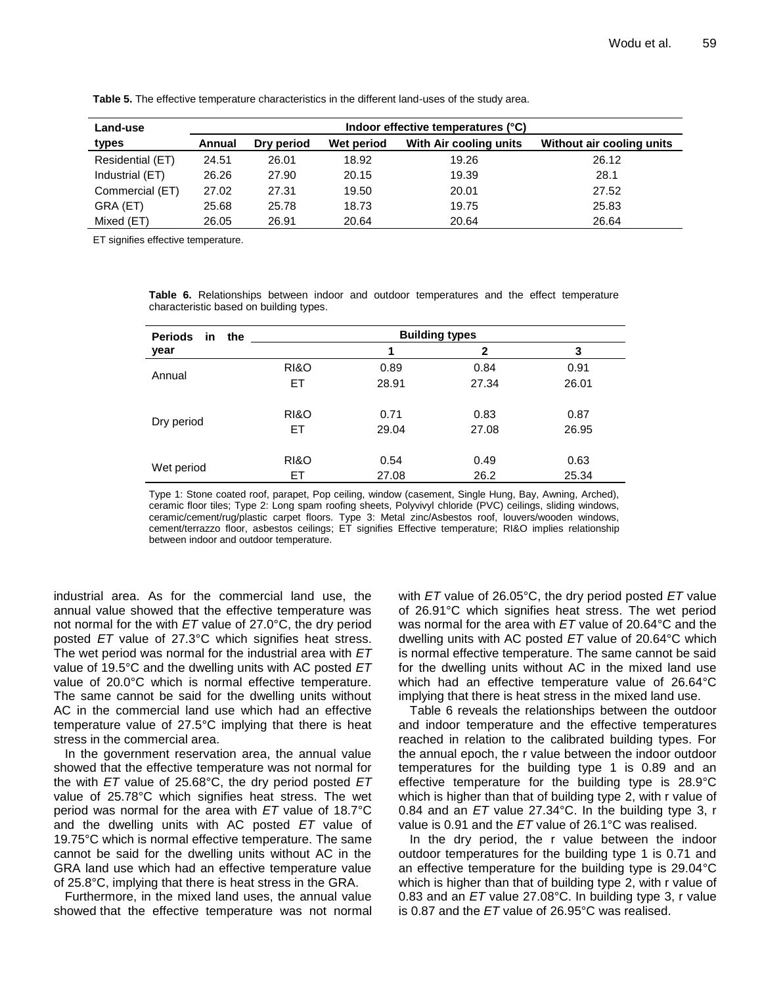| Land-use         | Indoor effective temperatures (°C) |            |            |                        |                           |
|------------------|------------------------------------|------------|------------|------------------------|---------------------------|
| types            | Annual                             | Dry period | Wet period | With Air cooling units | Without air cooling units |
| Residential (ET) | 24.51                              | 26.01      | 18.92      | 19.26                  | 26.12                     |
| Industrial (ET)  | 26.26                              | 27.90      | 20.15      | 19.39                  | 28.1                      |
| Commercial (ET)  | 27.02                              | 27.31      | 19.50      | 20.01                  | 27.52                     |
| GRA (ET)         | 25.68                              | 25.78      | 18.73      | 19.75                  | 25.83                     |
| Mixed (ET)       | 26.05                              | 26.91      | 20.64      | 20.64                  | 26.64                     |

**Table 5.** The effective temperature characteristics in the different land-uses of the study area.

ET signifies effective temperature.

**Table 6.** Relationships between indoor and outdoor temperatures and the effect temperature characteristic based on building types.

| <b>Periods</b><br>in.<br>the |                 |       |       |       |  |
|------------------------------|-----------------|-------|-------|-------|--|
| year                         |                 | 1     | 2     | 3     |  |
| Annual                       | RI&O            | 0.89  | 0.84  | 0.91  |  |
|                              | ET              | 28.91 | 27.34 | 26.01 |  |
|                              |                 |       |       |       |  |
| Dry period                   | <b>RI&amp;O</b> | 0.71  | 0.83  | 0.87  |  |
|                              | ET              | 29.04 | 27.08 | 26.95 |  |
|                              |                 |       |       |       |  |
| Wet period                   | <b>RI&amp;O</b> | 0.54  | 0.49  | 0.63  |  |
|                              | ET              | 27.08 | 26.2  | 25.34 |  |
|                              |                 |       |       |       |  |

Type 1: Stone coated roof, parapet, Pop ceiling, window (casement, Single Hung, Bay, Awning, Arched), ceramic floor tiles; Type 2: Long spam roofing sheets, Polyvivyl chloride (PVC) ceilings, sliding windows, ceramic/cement/rug/plastic carpet floors. Type 3: Metal zinc/Asbestos roof, louvers/wooden windows, cement/terrazzo floor, asbestos ceilings; ET signifies Effective temperature; RI&O implies relationship between indoor and outdoor temperature.

industrial area. As for the commercial land use, the annual value showed that the effective temperature was not normal for the with *ET* value of 27.0°C, the dry period posted *ET* value of 27.3°C which signifies heat stress. The wet period was normal for the industrial area with *ET*  value of 19.5°C and the dwelling units with AC posted *ET* value of 20.0°C which is normal effective temperature. The same cannot be said for the dwelling units without AC in the commercial land use which had an effective temperature value of 27.5°C implying that there is heat stress in the commercial area.

In the government reservation area, the annual value showed that the effective temperature was not normal for the with *ET* value of 25.68°C, the dry period posted *ET*  value of 25.78°C which signifies heat stress. The wet period was normal for the area with *ET* value of 18.7°C and the dwelling units with AC posted *ET* value of 19.75°C which is normal effective temperature. The same cannot be said for the dwelling units without AC in the GRA land use which had an effective temperature value of 25.8°C, implying that there is heat stress in the GRA.

Furthermore, in the mixed land uses, the annual value showed that the effective temperature was not normal with *ET* value of 26.05°C, the dry period posted *ET* value of 26.91°C which signifies heat stress. The wet period was normal for the area with *ET* value of 20.64°C and the dwelling units with AC posted *ET* value of 20.64°C which is normal effective temperature. The same cannot be said for the dwelling units without AC in the mixed land use which had an effective temperature value of 26.64°C implying that there is heat stress in the mixed land use.

Table 6 reveals the relationships between the outdoor and indoor temperature and the effective temperatures reached in relation to the calibrated building types. For the annual epoch, the r value between the indoor outdoor temperatures for the building type 1 is 0.89 and an effective temperature for the building type is 28.9°C which is higher than that of building type 2, with r value of 0.84 and an *ET* value 27.34°C. In the building type 3, r value is 0.91 and the *ET* value of 26.1°C was realised.

In the dry period, the r value between the indoor outdoor temperatures for the building type 1 is 0.71 and an effective temperature for the building type is 29.04°C which is higher than that of building type 2, with r value of 0.83 and an *ET* value 27.08°C. In building type 3, r value is 0.87 and the *ET* value of 26.95°C was realised.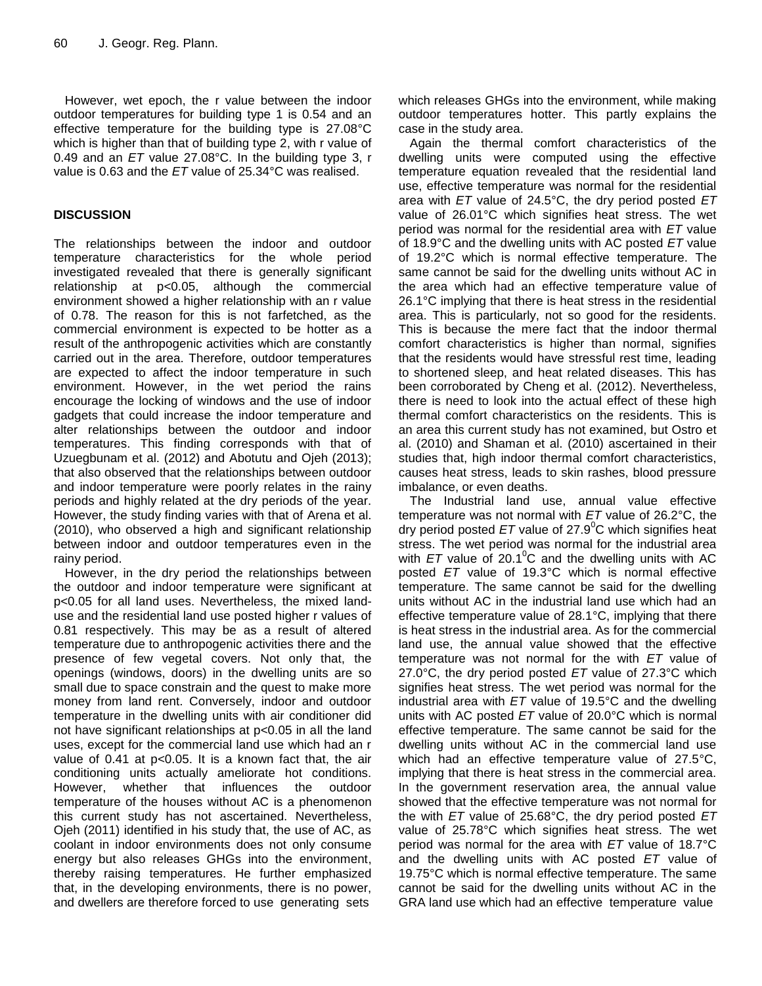However, wet epoch, the r value between the indoor outdoor temperatures for building type 1 is 0.54 and an effective temperature for the building type is 27.08°C which is higher than that of building type 2, with r value of 0.49 and an *ET* value 27.08°C. In the building type 3, r value is 0.63 and the *ET* value of 25.34°C was realised.

## **DISCUSSION**

The relationships between the indoor and outdoor temperature characteristics for the whole period investigated revealed that there is generally significant relationship at p<0.05, although the commercial environment showed a higher relationship with an r value of 0.78. The reason for this is not farfetched, as the commercial environment is expected to be hotter as a result of the anthropogenic activities which are constantly carried out in the area. Therefore, outdoor temperatures are expected to affect the indoor temperature in such environment. However, in the wet period the rains encourage the locking of windows and the use of indoor gadgets that could increase the indoor temperature and alter relationships between the outdoor and indoor temperatures. This finding corresponds with that of Uzuegbunam et al. (2012) and Abotutu and Ojeh (2013); that also observed that the relationships between outdoor and indoor temperature were poorly relates in the rainy periods and highly related at the dry periods of the year. However, the study finding varies with that of Arena et al. (2010), who observed a high and significant relationship between indoor and outdoor temperatures even in the rainy period.

However, in the dry period the relationships between the outdoor and indoor temperature were significant at p<0.05 for all land uses. Nevertheless, the mixed landuse and the residential land use posted higher r values of 0.81 respectively. This may be as a result of altered temperature due to anthropogenic activities there and the presence of few vegetal covers. Not only that, the openings (windows, doors) in the dwelling units are so small due to space constrain and the quest to make more money from land rent. Conversely, indoor and outdoor temperature in the dwelling units with air conditioner did not have significant relationships at p<0.05 in all the land uses, except for the commercial land use which had an r value of 0.41 at p<0.05. It is a known fact that, the air conditioning units actually ameliorate hot conditions. However, whether that influences the outdoor temperature of the houses without AC is a phenomenon this current study has not ascertained. Nevertheless, Ojeh (2011) identified in his study that, the use of AC, as coolant in indoor environments does not only consume energy but also releases GHGs into the environment, thereby raising temperatures. He further emphasized that, in the developing environments, there is no power, and dwellers are therefore forced to use generating sets

which releases GHGs into the environment, while making outdoor temperatures hotter. This partly explains the case in the study area.

Again the thermal comfort characteristics of the dwelling units were computed using the effective temperature equation revealed that the residential land use, effective temperature was normal for the residential area with *ET* value of 24.5°C, the dry period posted *ET*  value of 26.01°C which signifies heat stress. The wet period was normal for the residential area with *ET* value of 18.9°C and the dwelling units with AC posted *ET* value of 19.2°C which is normal effective temperature. The same cannot be said for the dwelling units without AC in the area which had an effective temperature value of 26.1°C implying that there is heat stress in the residential area. This is particularly, not so good for the residents. This is because the mere fact that the indoor thermal comfort characteristics is higher than normal, signifies that the residents would have stressful rest time, leading to shortened sleep, and heat related diseases. This has been corroborated by Cheng et al. (2012). Nevertheless, there is need to look into the actual effect of these high thermal comfort characteristics on the residents. This is an area this current study has not examined, but Ostro et al. (2010) and Shaman et al. (2010) ascertained in their studies that, high indoor thermal comfort characteristics, causes heat stress, leads to skin rashes, blood pressure imbalance, or even deaths.

The Industrial land use, annual value effective temperature was not normal with *ET* value of 26.2°C, the dry period posted  $ET$  value of  $27.9^{\circ}$ C which signifies heat stress. The wet period was normal for the industrial area with  $ET$  value of 20.1<sup>o</sup>C and the dwelling units with AC posted *ET* value of 19.3°C which is normal effective temperature. The same cannot be said for the dwelling units without AC in the industrial land use which had an effective temperature value of 28.1°C, implying that there is heat stress in the industrial area. As for the commercial land use, the annual value showed that the effective temperature was not normal for the with *ET* value of 27.0°C, the dry period posted *ET* value of 27.3°C which signifies heat stress. The wet period was normal for the industrial area with *ET* value of 19.5°C and the dwelling units with AC posted *ET* value of 20.0°C which is normal effective temperature. The same cannot be said for the dwelling units without AC in the commercial land use which had an effective temperature value of 27.5°C, implying that there is heat stress in the commercial area. In the government reservation area, the annual value showed that the effective temperature was not normal for the with *ET* value of 25.68°C, the dry period posted *ET*  value of 25.78°C which signifies heat stress. The wet period was normal for the area with *ET* value of 18.7°C and the dwelling units with AC posted *ET* value of 19.75°C which is normal effective temperature. The same cannot be said for the dwelling units without AC in the GRA land use which had an effective temperature value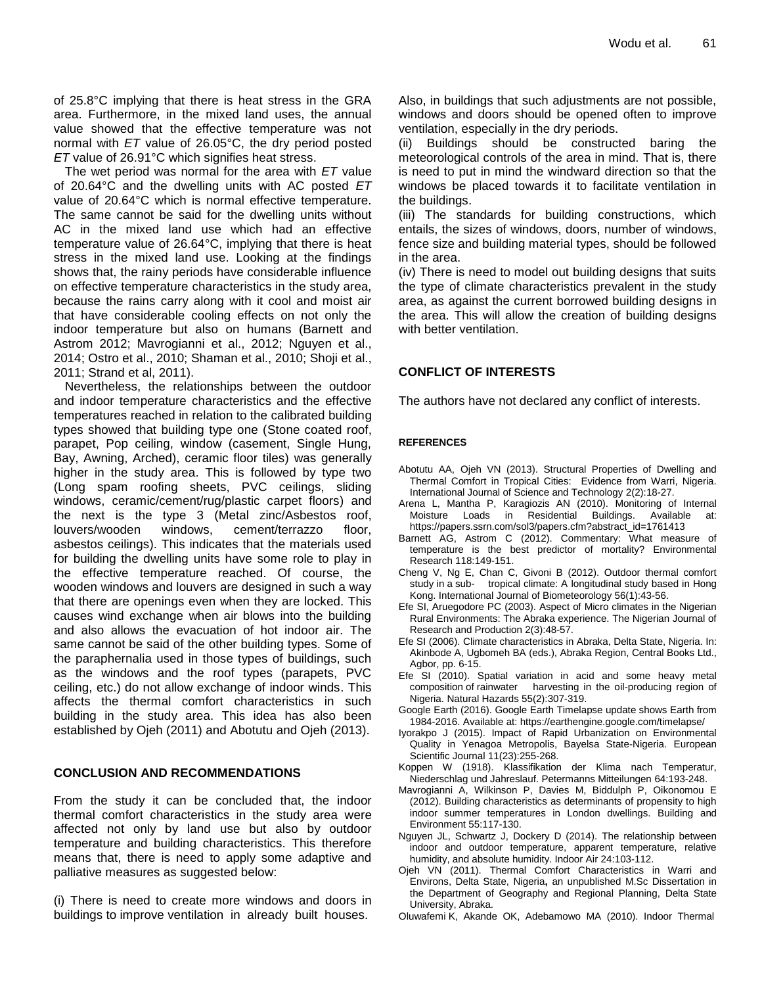of 25.8°C implying that there is heat stress in the GRA area. Furthermore, in the mixed land uses, the annual value showed that the effective temperature was not normal with *ET* value of 26.05°C, the dry period posted *ET* value of 26.91°C which signifies heat stress.

The wet period was normal for the area with *ET* value of 20.64°C and the dwelling units with AC posted *ET* value of 20.64°C which is normal effective temperature. The same cannot be said for the dwelling units without AC in the mixed land use which had an effective temperature value of 26.64°C, implying that there is heat stress in the mixed land use. Looking at the findings shows that, the rainy periods have considerable influence on effective temperature characteristics in the study area, because the rains carry along with it cool and moist air that have considerable cooling effects on not only the indoor temperature but also on humans (Barnett and Astrom 2012; Mavrogianni et al., 2012; Nguyen et al., 2014; Ostro et al., 2010; Shaman et al., 2010; Shoji et al., 2011; Strand et al, 2011).

Nevertheless, the relationships between the outdoor and indoor temperature characteristics and the effective temperatures reached in relation to the calibrated building types showed that building type one (Stone coated roof, parapet, Pop ceiling, window (casement, Single Hung, Bay, Awning, Arched), ceramic floor tiles) was generally higher in the study area. This is followed by type two (Long spam roofing sheets, PVC ceilings, sliding windows, ceramic/cement/rug/plastic carpet floors) and the next is the type 3 (Metal zinc/Asbestos roof, louvers/wooden windows, cement/terrazzo floor, asbestos ceilings). This indicates that the materials used for building the dwelling units have some role to play in the effective temperature reached. Of course, the wooden windows and louvers are designed in such a way that there are openings even when they are locked. This causes wind exchange when air blows into the building and also allows the evacuation of hot indoor air. The same cannot be said of the other building types. Some of the paraphernalia used in those types of buildings, such as the windows and the roof types (parapets, PVC ceiling, etc.) do not allow exchange of indoor winds. This affects the thermal comfort characteristics in such building in the study area. This idea has also been established by Ojeh (2011) and Abotutu and Ojeh (2013).

## **CONCLUSION AND RECOMMENDATIONS**

From the study it can be concluded that, the indoor thermal comfort characteristics in the study area were affected not only by land use but also by outdoor temperature and building characteristics. This therefore means that, there is need to apply some adaptive and palliative measures as suggested below:

(i) There is need to create more windows and doors in buildings to improve ventilation in already built houses.

Also, in buildings that such adjustments are not possible, windows and doors should be opened often to improve ventilation, especially in the dry periods.

(ii) Buildings should be constructed baring the meteorological controls of the area in mind. That is, there is need to put in mind the windward direction so that the windows be placed towards it to facilitate ventilation in the buildings.

(iii) The standards for building constructions, which entails, the sizes of windows, doors, number of windows, fence size and building material types, should be followed in the area.

(iv) There is need to model out building designs that suits the type of climate characteristics prevalent in the study area, as against the current borrowed building designs in the area. This will allow the creation of building designs with better ventilation.

### **CONFLICT OF INTERESTS**

The authors have not declared any conflict of interests.

#### **REFERENCES**

- Abotutu AA, Ojeh VN (2013). Structural Properties of Dwelling and Thermal Comfort in Tropical Cities: Evidence from Warri, Nigeria. International Journal of Science and Technology 2(2):18-27.
- Arena L, Mantha P, Karagiozis AN (2010). Monitoring of Internal Moisture Loads in Residential Buildings. Available at: https://papers.ssrn.com/sol3/papers.cfm?abstract\_id=1761413
- Barnett AG, Astrom C (2012). Commentary: What measure of temperature is the best predictor of mortality? Environmental Research 118:149-151.
- Cheng V, Ng E, Chan C, Givoni B (2012). Outdoor thermal comfort study in a sub- tropical climate: A longitudinal study based in Hong Kong. International Journal of Biometeorology 56(1):43-56.
- Efe SI, Aruegodore PC (2003). Aspect of Micro climates in the Nigerian Rural Environments: The Abraka experience. The Nigerian Journal of Research and Production 2(3):48-57.
- Efe SI (2006). Climate characteristics in Abraka, Delta State, Nigeria. In: Akinbode A, Ugbomeh BA (eds.), Abraka Region, Central Books Ltd., Agbor, pp. 6-15.
- Efe SI (2010). Spatial variation in acid and some heavy metal composition of rainwater harvesting in the oil-producing region of Nigeria. Natural Hazards 55(2):307-319.
- Google Earth (2016). Google Earth Timelapse update shows Earth from 1984-2016. Available at: https://earthengine.google.com/timelapse/
- Iyorakpo J (2015). Impact of Rapid Urbanization on Environmental Quality in Yenagoa Metropolis, Bayelsa State-Nigeria. European Scientific Journal 11(23):255-268.
- Koppen W (1918). Klassifikation der Klima nach Temperatur, Niederschlag und Jahreslauf. Petermanns Mitteilungen 64:193-248.
- Mavrogianni A, Wilkinson P, Davies M, Biddulph P, Oikonomou E (2012). Building characteristics as determinants of propensity to high indoor summer temperatures in London dwellings. Building and Environment 55:117-130.
- Nguyen JL, Schwartz J, Dockery D (2014). The relationship between indoor and outdoor temperature, apparent temperature, relative humidity, and absolute humidity. Indoor Air 24:103-112.
- Ojeh VN (2011). Thermal Comfort Characteristics in Warri and Environs, Delta State, Nigeria**,** an unpublished M.Sc Dissertation in the Department of Geography and Regional Planning, Delta State University, Abraka.
- Oluwafemi K, Akande OK, Adebamowo MA (2010). Indoor Thermal